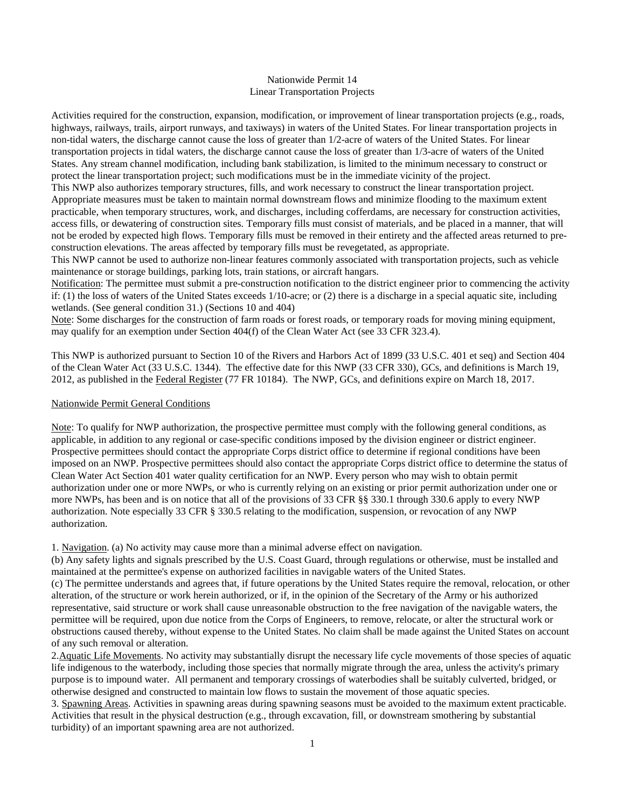## Nationwide Permit 14 Linear Transportation Projects

Activities required for the construction, expansion, modification, or improvement of linear transportation projects (e.g., roads, highways, railways, trails, airport runways, and taxiways) in waters of the United States. For linear transportation projects in non-tidal waters, the discharge cannot cause the loss of greater than 1/2-acre of waters of the United States. For linear transportation projects in tidal waters, the discharge cannot cause the loss of greater than 1/3-acre of waters of the United States. Any stream channel modification, including bank stabilization, is limited to the minimum necessary to construct or protect the linear transportation project; such modifications must be in the immediate vicinity of the project.

This NWP also authorizes temporary structures, fills, and work necessary to construct the linear transportation project. Appropriate measures must be taken to maintain normal downstream flows and minimize flooding to the maximum extent practicable, when temporary structures, work, and discharges, including cofferdams, are necessary for construction activities, access fills, or dewatering of construction sites. Temporary fills must consist of materials, and be placed in a manner, that will not be eroded by expected high flows. Temporary fills must be removed in their entirety and the affected areas returned to preconstruction elevations. The areas affected by temporary fills must be revegetated, as appropriate.

This NWP cannot be used to authorize non-linear features commonly associated with transportation projects, such as vehicle maintenance or storage buildings, parking lots, train stations, or aircraft hangars.

Notification: The permittee must submit a pre-construction notification to the district engineer prior to commencing the activity if: (1) the loss of waters of the United States exceeds 1/10-acre; or (2) there is a discharge in a special aquatic site, including wetlands. (See general condition 31.) (Sections 10 and 404)

Note: Some discharges for the construction of farm roads or forest roads, or temporary roads for moving mining equipment, may qualify for an exemption under Section 404(f) of the Clean Water Act (see 33 CFR 323.4).

This NWP is authorized pursuant to Section 10 of the Rivers and Harbors Act of 1899 (33 U.S.C. 401 et seq) and Section 404 of the Clean Water Act (33 U.S.C. 1344). The effective date for this NWP (33 CFR 330), GCs, and definitions is March 19, 2012, as published in the Federal Register (77 FR 10184). The NWP, GCs, and definitions expire on March 18, 2017.

### Nationwide Permit General Conditions

Note: To qualify for NWP authorization, the prospective permittee must comply with the following general conditions, as applicable, in addition to any regional or case-specific conditions imposed by the division engineer or district engineer. Prospective permittees should contact the appropriate Corps district office to determine if regional conditions have been imposed on an NWP. Prospective permittees should also contact the appropriate Corps district office to determine the status of Clean Water Act Section 401 water quality certification for an NWP. Every person who may wish to obtain permit authorization under one or more NWPs, or who is currently relying on an existing or prior permit authorization under one or more NWPs, has been and is on notice that all of the provisions of 33 CFR §§ 330.1 through 330.6 apply to every NWP authorization. Note especially 33 CFR § 330.5 relating to the modification, suspension, or revocation of any NWP authorization.

1. Navigation. (a) No activity may cause more than a minimal adverse effect on navigation.

(b) Any safety lights and signals prescribed by the U.S. Coast Guard, through regulations or otherwise, must be installed and maintained at the permittee's expense on authorized facilities in navigable waters of the United States.

(c) The permittee understands and agrees that, if future operations by the United States require the removal, relocation, or other alteration, of the structure or work herein authorized, or if, in the opinion of the Secretary of the Army or his authorized representative, said structure or work shall cause unreasonable obstruction to the free navigation of the navigable waters, the permittee will be required, upon due notice from the Corps of Engineers, to remove, relocate, or alter the structural work or obstructions caused thereby, without expense to the United States. No claim shall be made against the United States on account of any such removal or alteration.

2.Aquatic Life Movements. No activity may substantially disrupt the necessary life cycle movements of those species of aquatic life indigenous to the waterbody, including those species that normally migrate through the area, unless the activity's primary purpose is to impound water. All permanent and temporary crossings of waterbodies shall be suitably culverted, bridged, or otherwise designed and constructed to maintain low flows to sustain the movement of those aquatic species.

3. Spawning Areas. Activities in spawning areas during spawning seasons must be avoided to the maximum extent practicable. Activities that result in the physical destruction (e.g., through excavation, fill, or downstream smothering by substantial turbidity) of an important spawning area are not authorized.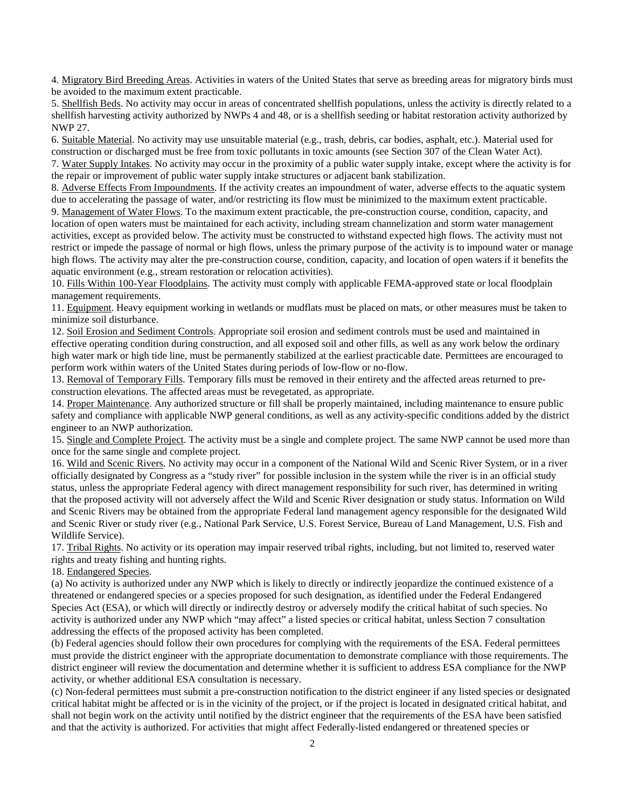4. Migratory Bird Breeding Areas. Activities in waters of the United States that serve as breeding areas for migratory birds must be avoided to the maximum extent practicable.

5. Shellfish Beds. No activity may occur in areas of concentrated shellfish populations, unless the activity is directly related to a shellfish harvesting activity authorized by NWPs 4 and 48, or is a shellfish seeding or habitat restoration activity authorized by NWP 27.

6. Suitable Material. No activity may use unsuitable material (e.g., trash, debris, car bodies, asphalt, etc.). Material used for construction or discharged must be free from toxic pollutants in toxic amounts (see Section 307 of the Clean Water Act). 7. Water Supply Intakes. No activity may occur in the proximity of a public water supply intake, except where the activity is for the repair or improvement of public water supply intake structures or adjacent bank stabilization.

8. Adverse Effects From Impoundments. If the activity creates an impoundment of water, adverse effects to the aquatic system due to accelerating the passage of water, and/or restricting its flow must be minimized to the maximum extent practicable.

9. Management of Water Flows. To the maximum extent practicable, the pre-construction course, condition, capacity, and location of open waters must be maintained for each activity, including stream channelization and storm water management activities, except as provided below. The activity must be constructed to withstand expected high flows. The activity must not restrict or impede the passage of normal or high flows, unless the primary purpose of the activity is to impound water or manage high flows. The activity may alter the pre-construction course, condition, capacity, and location of open waters if it benefits the aquatic environment (e.g., stream restoration or relocation activities).

10. Fills Within 100-Year Floodplains. The activity must comply with applicable FEMA-approved state or local floodplain management requirements.

11. Equipment. Heavy equipment working in wetlands or mudflats must be placed on mats, or other measures must be taken to minimize soil disturbance.

12. Soil Erosion and Sediment Controls. Appropriate soil erosion and sediment controls must be used and maintained in effective operating condition during construction, and all exposed soil and other fills, as well as any work below the ordinary high water mark or high tide line, must be permanently stabilized at the earliest practicable date. Permittees are encouraged to perform work within waters of the United States during periods of low-flow or no-flow.

13. Removal of Temporary Fills. Temporary fills must be removed in their entirety and the affected areas returned to preconstruction elevations. The affected areas must be revegetated, as appropriate.

14. Proper Maintenance. Any authorized structure or fill shall be properly maintained, including maintenance to ensure public safety and compliance with applicable NWP general conditions, as well as any activity-specific conditions added by the district engineer to an NWP authorization.

15. Single and Complete Project. The activity must be a single and complete project. The same NWP cannot be used more than once for the same single and complete project.

16. Wild and Scenic Rivers. No activity may occur in a component of the National Wild and Scenic River System, or in a river officially designated by Congress as a "study river" for possible inclusion in the system while the river is in an official study status, unless the appropriate Federal agency with direct management responsibility for such river, has determined in writing that the proposed activity will not adversely affect the Wild and Scenic River designation or study status. Information on Wild and Scenic Rivers may be obtained from the appropriate Federal land management agency responsible for the designated Wild and Scenic River or study river (e.g., National Park Service, U.S. Forest Service, Bureau of Land Management, U.S. Fish and Wildlife Service).

17. Tribal Rights. No activity or its operation may impair reserved tribal rights, including, but not limited to, reserved water rights and treaty fishing and hunting rights.

18. Endangered Species.

(a) No activity is authorized under any NWP which is likely to directly or indirectly jeopardize the continued existence of a threatened or endangered species or a species proposed for such designation, as identified under the Federal Endangered Species Act (ESA), or which will directly or indirectly destroy or adversely modify the critical habitat of such species. No activity is authorized under any NWP which "may affect" a listed species or critical habitat, unless Section 7 consultation addressing the effects of the proposed activity has been completed.

(b) Federal agencies should follow their own procedures for complying with the requirements of the ESA. Federal permittees must provide the district engineer with the appropriate documentation to demonstrate compliance with those requirements. The district engineer will review the documentation and determine whether it is sufficient to address ESA compliance for the NWP activity, or whether additional ESA consultation is necessary.

(c) Non-federal permittees must submit a pre-construction notification to the district engineer if any listed species or designated critical habitat might be affected or is in the vicinity of the project, or if the project is located in designated critical habitat, and shall not begin work on the activity until notified by the district engineer that the requirements of the ESA have been satisfied and that the activity is authorized. For activities that might affect Federally-listed endangered or threatened species or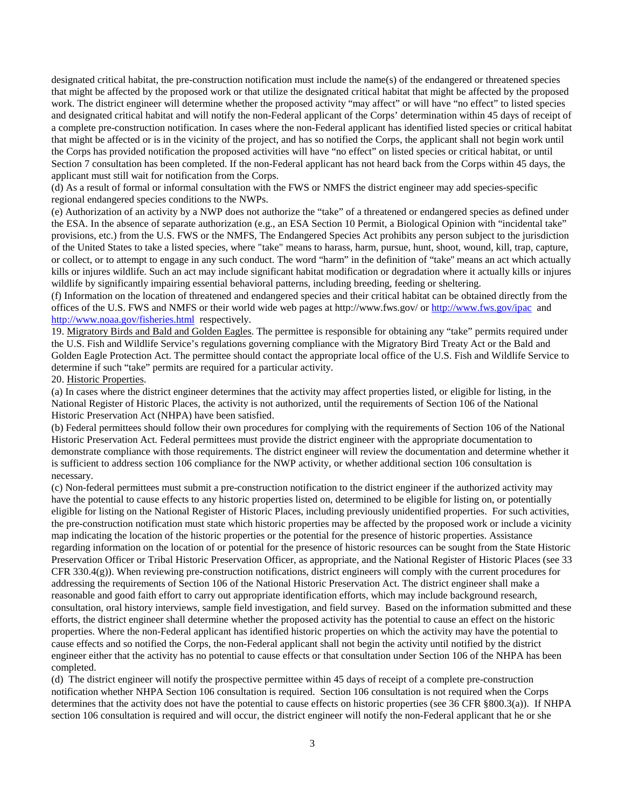designated critical habitat, the pre-construction notification must include the name(s) of the endangered or threatened species that might be affected by the proposed work or that utilize the designated critical habitat that might be affected by the proposed work. The district engineer will determine whether the proposed activity "may affect" or will have "no effect" to listed species and designated critical habitat and will notify the non-Federal applicant of the Corps' determination within 45 days of receipt of a complete pre-construction notification. In cases where the non-Federal applicant has identified listed species or critical habitat that might be affected or is in the vicinity of the project, and has so notified the Corps, the applicant shall not begin work until the Corps has provided notification the proposed activities will have "no effect" on listed species or critical habitat, or until Section 7 consultation has been completed. If the non-Federal applicant has not heard back from the Corps within 45 days, the applicant must still wait for notification from the Corps.

(d) As a result of formal or informal consultation with the FWS or NMFS the district engineer may add species-specific regional endangered species conditions to the NWPs.

(e) Authorization of an activity by a NWP does not authorize the "take" of a threatened or endangered species as defined under the ESA. In the absence of separate authorization (e.g., an ESA Section 10 Permit, a Biological Opinion with "incidental take" provisions, etc.) from the U.S. FWS or the NMFS, The Endangered Species Act prohibits any person subject to the jurisdiction of the United States to take a listed species, where "take" means to harass, harm, pursue, hunt, shoot, wound, kill, trap, capture, or collect, or to attempt to engage in any such conduct. The word "harm" in the definition of "take'' means an act which actually kills or injures wildlife. Such an act may include significant habitat modification or degradation where it actually kills or injures wildlife by significantly impairing essential behavioral patterns, including breeding, feeding or sheltering.

(f) Information on the location of threatened and endangered species and their critical habitat can be obtained directly from the offices of the U.S. FWS and NMFS or their world wide web pages at http://www.fws.gov/ or<http://www.fws.gov/ipac>and <http://www.noaa.gov/fisheries.html>respectively.

19. Migratory Birds and Bald and Golden Eagles. The permittee is responsible for obtaining any "take" permits required under the U.S. Fish and Wildlife Service's regulations governing compliance with the Migratory Bird Treaty Act or the Bald and Golden Eagle Protection Act. The permittee should contact the appropriate local office of the U.S. Fish and Wildlife Service to determine if such "take" permits are required for a particular activity.

#### 20. Historic Properties.

(a) In cases where the district engineer determines that the activity may affect properties listed, or eligible for listing, in the National Register of Historic Places, the activity is not authorized, until the requirements of Section 106 of the National Historic Preservation Act (NHPA) have been satisfied.

(b) Federal permittees should follow their own procedures for complying with the requirements of Section 106 of the National Historic Preservation Act. Federal permittees must provide the district engineer with the appropriate documentation to demonstrate compliance with those requirements. The district engineer will review the documentation and determine whether it is sufficient to address section 106 compliance for the NWP activity, or whether additional section 106 consultation is necessary.

(c) Non-federal permittees must submit a pre-construction notification to the district engineer if the authorized activity may have the potential to cause effects to any historic properties listed on, determined to be eligible for listing on, or potentially eligible for listing on the National Register of Historic Places, including previously unidentified properties. For such activities, the pre-construction notification must state which historic properties may be affected by the proposed work or include a vicinity map indicating the location of the historic properties or the potential for the presence of historic properties. Assistance regarding information on the location of or potential for the presence of historic resources can be sought from the State Historic Preservation Officer or Tribal Historic Preservation Officer, as appropriate, and the National Register of Historic Places (see 33 CFR 330.4(g)). When reviewing pre-construction notifications, district engineers will comply with the current procedures for addressing the requirements of Section 106 of the National Historic Preservation Act. The district engineer shall make a reasonable and good faith effort to carry out appropriate identification efforts, which may include background research, consultation, oral history interviews, sample field investigation, and field survey. Based on the information submitted and these efforts, the district engineer shall determine whether the proposed activity has the potential to cause an effect on the historic properties. Where the non-Federal applicant has identified historic properties on which the activity may have the potential to cause effects and so notified the Corps, the non-Federal applicant shall not begin the activity until notified by the district engineer either that the activity has no potential to cause effects or that consultation under Section 106 of the NHPA has been completed.

(d) The district engineer will notify the prospective permittee within 45 days of receipt of a complete pre-construction notification whether NHPA Section 106 consultation is required. Section 106 consultation is not required when the Corps determines that the activity does not have the potential to cause effects on historic properties (see 36 CFR §800.3(a)). If NHPA section 106 consultation is required and will occur, the district engineer will notify the non-Federal applicant that he or she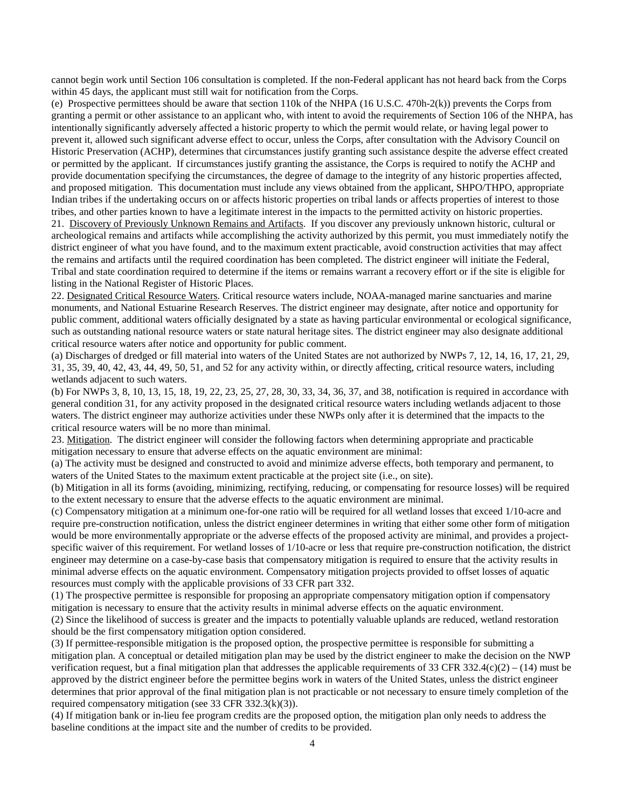cannot begin work until Section 106 consultation is completed. If the non-Federal applicant has not heard back from the Corps within 45 days, the applicant must still wait for notification from the Corps.

(e) Prospective permittees should be aware that section 110k of the NHPA (16 U.S.C. 470h-2(k)) prevents the Corps from granting a permit or other assistance to an applicant who, with intent to avoid the requirements of Section 106 of the NHPA, has intentionally significantly adversely affected a historic property to which the permit would relate, or having legal power to prevent it, allowed such significant adverse effect to occur, unless the Corps, after consultation with the Advisory Council on Historic Preservation (ACHP), determines that circumstances justify granting such assistance despite the adverse effect created or permitted by the applicant. If circumstances justify granting the assistance, the Corps is required to notify the ACHP and provide documentation specifying the circumstances, the degree of damage to the integrity of any historic properties affected, and proposed mitigation. This documentation must include any views obtained from the applicant, SHPO/THPO, appropriate Indian tribes if the undertaking occurs on or affects historic properties on tribal lands or affects properties of interest to those tribes, and other parties known to have a legitimate interest in the impacts to the permitted activity on historic properties.

21. Discovery of Previously Unknown Remains and Artifacts. If you discover any previously unknown historic, cultural or archeological remains and artifacts while accomplishing the activity authorized by this permit, you must immediately notify the district engineer of what you have found, and to the maximum extent practicable, avoid construction activities that may affect the remains and artifacts until the required coordination has been completed. The district engineer will initiate the Federal, Tribal and state coordination required to determine if the items or remains warrant a recovery effort or if the site is eligible for listing in the National Register of Historic Places.

22. Designated Critical Resource Waters. Critical resource waters include, NOAA-managed marine sanctuaries and marine monuments, and National Estuarine Research Reserves. The district engineer may designate, after notice and opportunity for public comment, additional waters officially designated by a state as having particular environmental or ecological significance, such as outstanding national resource waters or state natural heritage sites. The district engineer may also designate additional critical resource waters after notice and opportunity for public comment.

(a) Discharges of dredged or fill material into waters of the United States are not authorized by NWPs 7, 12, 14, 16, 17, 21, 29, 31, 35, 39, 40, 42, 43, 44, 49, 50, 51, and 52 for any activity within, or directly affecting, critical resource waters, including wetlands adjacent to such waters.

(b) For NWPs 3, 8, 10, 13, 15, 18, 19, 22, 23, 25, 27, 28, 30, 33, 34, 36, 37, and 38, notification is required in accordance with general condition 31, for any activity proposed in the designated critical resource waters including wetlands adjacent to those waters. The district engineer may authorize activities under these NWPs only after it is determined that the impacts to the critical resource waters will be no more than minimal.

23. Mitigation. The district engineer will consider the following factors when determining appropriate and practicable mitigation necessary to ensure that adverse effects on the aquatic environment are minimal:

(a) The activity must be designed and constructed to avoid and minimize adverse effects, both temporary and permanent, to waters of the United States to the maximum extent practicable at the project site (i.e., on site).

(b) Mitigation in all its forms (avoiding, minimizing, rectifying, reducing, or compensating for resource losses) will be required to the extent necessary to ensure that the adverse effects to the aquatic environment are minimal.

(c) Compensatory mitigation at a minimum one-for-one ratio will be required for all wetland losses that exceed 1/10-acre and require pre-construction notification, unless the district engineer determines in writing that either some other form of mitigation would be more environmentally appropriate or the adverse effects of the proposed activity are minimal, and provides a projectspecific waiver of this requirement. For wetland losses of 1/10-acre or less that require pre-construction notification, the district engineer may determine on a case-by-case basis that compensatory mitigation is required to ensure that the activity results in minimal adverse effects on the aquatic environment. Compensatory mitigation projects provided to offset losses of aquatic resources must comply with the applicable provisions of 33 CFR part 332.

(1) The prospective permittee is responsible for proposing an appropriate compensatory mitigation option if compensatory mitigation is necessary to ensure that the activity results in minimal adverse effects on the aquatic environment.

(2) Since the likelihood of success is greater and the impacts to potentially valuable uplands are reduced, wetland restoration should be the first compensatory mitigation option considered.

(3) If permittee-responsible mitigation is the proposed option, the prospective permittee is responsible for submitting a mitigation plan. A conceptual or detailed mitigation plan may be used by the district engineer to make the decision on the NWP verification request, but a final mitigation plan that addresses the applicable requirements of 33 CFR 332.4(c)(2) – (14) must be approved by the district engineer before the permittee begins work in waters of the United States, unless the district engineer determines that prior approval of the final mitigation plan is not practicable or not necessary to ensure timely completion of the required compensatory mitigation (see 33 CFR 332.3(k)(3)).

(4) If mitigation bank or in-lieu fee program credits are the proposed option, the mitigation plan only needs to address the baseline conditions at the impact site and the number of credits to be provided.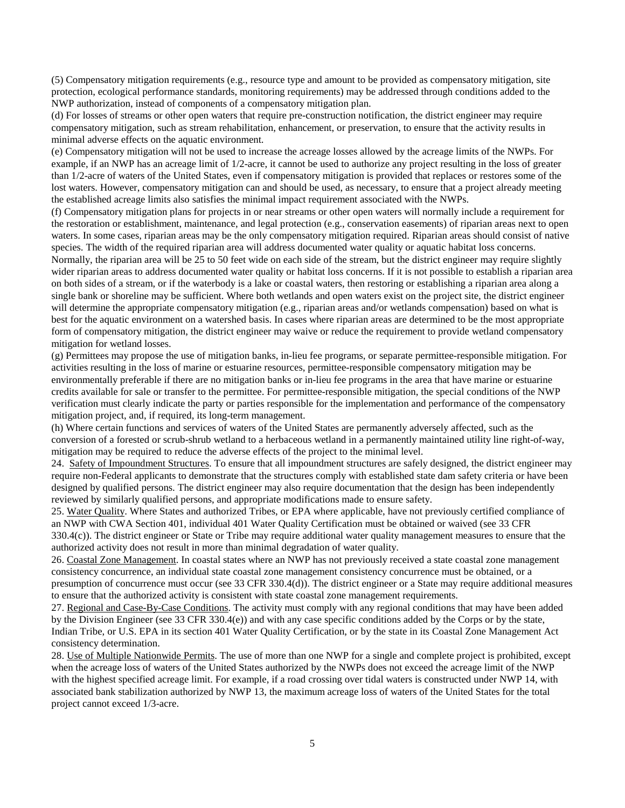(5) Compensatory mitigation requirements (e.g., resource type and amount to be provided as compensatory mitigation, site protection, ecological performance standards, monitoring requirements) may be addressed through conditions added to the NWP authorization, instead of components of a compensatory mitigation plan.

(d) For losses of streams or other open waters that require pre-construction notification, the district engineer may require compensatory mitigation, such as stream rehabilitation, enhancement, or preservation, to ensure that the activity results in minimal adverse effects on the aquatic environment.

(e) Compensatory mitigation will not be used to increase the acreage losses allowed by the acreage limits of the NWPs. For example, if an NWP has an acreage limit of 1/2-acre, it cannot be used to authorize any project resulting in the loss of greater than 1/2-acre of waters of the United States, even if compensatory mitigation is provided that replaces or restores some of the lost waters. However, compensatory mitigation can and should be used, as necessary, to ensure that a project already meeting the established acreage limits also satisfies the minimal impact requirement associated with the NWPs.

(f) Compensatory mitigation plans for projects in or near streams or other open waters will normally include a requirement for the restoration or establishment, maintenance, and legal protection (e.g., conservation easements) of riparian areas next to open waters. In some cases, riparian areas may be the only compensatory mitigation required. Riparian areas should consist of native species. The width of the required riparian area will address documented water quality or aquatic habitat loss concerns. Normally, the riparian area will be 25 to 50 feet wide on each side of the stream, but the district engineer may require slightly wider riparian areas to address documented water quality or habitat loss concerns. If it is not possible to establish a riparian area on both sides of a stream, or if the waterbody is a lake or coastal waters, then restoring or establishing a riparian area along a single bank or shoreline may be sufficient. Where both wetlands and open waters exist on the project site, the district engineer will determine the appropriate compensatory mitigation (e.g., riparian areas and/or wetlands compensation) based on what is best for the aquatic environment on a watershed basis. In cases where riparian areas are determined to be the most appropriate form of compensatory mitigation, the district engineer may waive or reduce the requirement to provide wetland compensatory mitigation for wetland losses.

(g) Permittees may propose the use of mitigation banks, in-lieu fee programs, or separate permittee-responsible mitigation. For activities resulting in the loss of marine or estuarine resources, permittee-responsible compensatory mitigation may be environmentally preferable if there are no mitigation banks or in-lieu fee programs in the area that have marine or estuarine credits available for sale or transfer to the permittee. For permittee-responsible mitigation, the special conditions of the NWP verification must clearly indicate the party or parties responsible for the implementation and performance of the compensatory mitigation project, and, if required, its long-term management.

(h) Where certain functions and services of waters of the United States are permanently adversely affected, such as the conversion of a forested or scrub-shrub wetland to a herbaceous wetland in a permanently maintained utility line right-of-way, mitigation may be required to reduce the adverse effects of the project to the minimal level.

24. Safety of Impoundment Structures. To ensure that all impoundment structures are safely designed, the district engineer may require non-Federal applicants to demonstrate that the structures comply with established state dam safety criteria or have been designed by qualified persons. The district engineer may also require documentation that the design has been independently reviewed by similarly qualified persons, and appropriate modifications made to ensure safety.

25. Water Quality. Where States and authorized Tribes, or EPA where applicable, have not previously certified compliance of an NWP with CWA Section 401, individual 401 Water Quality Certification must be obtained or waived (see 33 CFR  $330.4(c)$ ). The district engineer or State or Tribe may require additional water quality management measures to ensure that the authorized activity does not result in more than minimal degradation of water quality.

26. Coastal Zone Management. In coastal states where an NWP has not previously received a state coastal zone management consistency concurrence, an individual state coastal zone management consistency concurrence must be obtained, or a presumption of concurrence must occur (see 33 CFR 330.4(d)). The district engineer or a State may require additional measures to ensure that the authorized activity is consistent with state coastal zone management requirements.

27. Regional and Case-By-Case Conditions. The activity must comply with any regional conditions that may have been added by the Division Engineer (see 33 CFR 330.4(e)) and with any case specific conditions added by the Corps or by the state, Indian Tribe, or U.S. EPA in its section 401 Water Quality Certification, or by the state in its Coastal Zone Management Act consistency determination.

28. Use of Multiple Nationwide Permits. The use of more than one NWP for a single and complete project is prohibited, except when the acreage loss of waters of the United States authorized by the NWPs does not exceed the acreage limit of the NWP with the highest specified acreage limit. For example, if a road crossing over tidal waters is constructed under NWP 14, with associated bank stabilization authorized by NWP 13, the maximum acreage loss of waters of the United States for the total project cannot exceed 1/3-acre.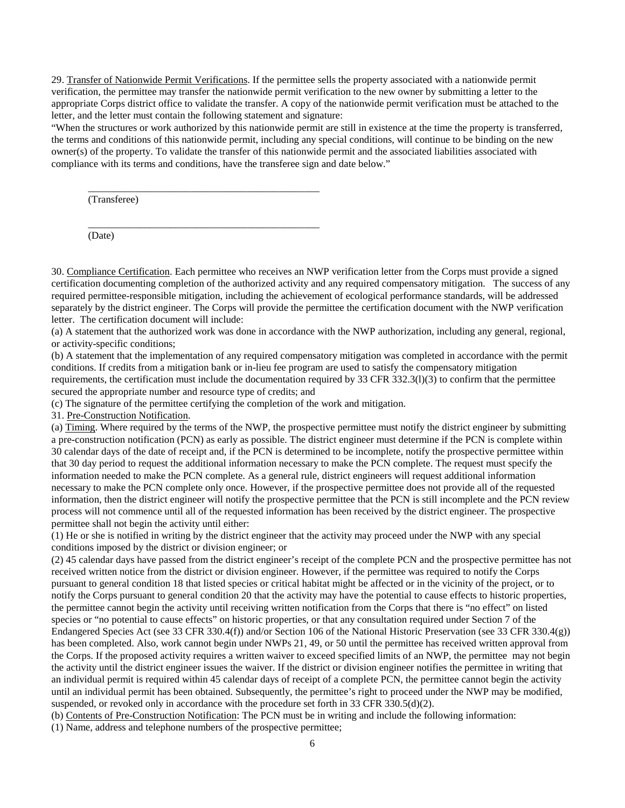29. Transfer of Nationwide Permit Verifications. If the permittee sells the property associated with a nationwide permit verification, the permittee may transfer the nationwide permit verification to the new owner by submitting a letter to the appropriate Corps district office to validate the transfer. A copy of the nationwide permit verification must be attached to the letter, and the letter must contain the following statement and signature:

"When the structures or work authorized by this nationwide permit are still in existence at the time the property is transferred, the terms and conditions of this nationwide permit, including any special conditions, will continue to be binding on the new owner(s) of the property. To validate the transfer of this nationwide permit and the associated liabilities associated with compliance with its terms and conditions, have the transferee sign and date below."

(Transferee)

(Date)

30. Compliance Certification. Each permittee who receives an NWP verification letter from the Corps must provide a signed certification documenting completion of the authorized activity and any required compensatory mitigation. The success of any required permittee-responsible mitigation, including the achievement of ecological performance standards, will be addressed separately by the district engineer. The Corps will provide the permittee the certification document with the NWP verification letter. The certification document will include:

(a) A statement that the authorized work was done in accordance with the NWP authorization, including any general, regional, or activity-specific conditions;

(b) A statement that the implementation of any required compensatory mitigation was completed in accordance with the permit conditions. If credits from a mitigation bank or in-lieu fee program are used to satisfy the compensatory mitigation requirements, the certification must include the documentation required by 33 CFR 332.3(l)(3) to confirm that the permittee secured the appropriate number and resource type of credits; and

(c) The signature of the permittee certifying the completion of the work and mitigation.

\_\_\_\_\_\_\_\_\_\_\_\_\_\_\_\_\_\_\_\_\_\_\_\_\_\_\_\_\_\_\_\_\_\_\_\_\_\_\_\_\_\_\_\_\_

\_\_\_\_\_\_\_\_\_\_\_\_\_\_\_\_\_\_\_\_\_\_\_\_\_\_\_\_\_\_\_\_\_\_\_\_\_\_\_\_\_\_\_\_\_

31. Pre-Construction Notification.

(a) Timing. Where required by the terms of the NWP, the prospective permittee must notify the district engineer by submitting a pre-construction notification (PCN) as early as possible. The district engineer must determine if the PCN is complete within 30 calendar days of the date of receipt and, if the PCN is determined to be incomplete, notify the prospective permittee within that 30 day period to request the additional information necessary to make the PCN complete. The request must specify the information needed to make the PCN complete. As a general rule, district engineers will request additional information necessary to make the PCN complete only once. However, if the prospective permittee does not provide all of the requested information, then the district engineer will notify the prospective permittee that the PCN is still incomplete and the PCN review process will not commence until all of the requested information has been received by the district engineer. The prospective permittee shall not begin the activity until either:

(1) He or she is notified in writing by the district engineer that the activity may proceed under the NWP with any special conditions imposed by the district or division engineer; or

(2) 45 calendar days have passed from the district engineer's receipt of the complete PCN and the prospective permittee has not received written notice from the district or division engineer. However, if the permittee was required to notify the Corps pursuant to general condition 18 that listed species or critical habitat might be affected or in the vicinity of the project, or to notify the Corps pursuant to general condition 20 that the activity may have the potential to cause effects to historic properties, the permittee cannot begin the activity until receiving written notification from the Corps that there is "no effect" on listed species or "no potential to cause effects" on historic properties, or that any consultation required under Section 7 of the Endangered Species Act (see 33 CFR 330.4(f)) and/or Section 106 of the National Historic Preservation (see 33 CFR 330.4(g)) has been completed. Also, work cannot begin under NWPs 21, 49, or 50 until the permittee has received written approval from the Corps. If the proposed activity requires a written waiver to exceed specified limits of an NWP, the permittee may not begin the activity until the district engineer issues the waiver. If the district or division engineer notifies the permittee in writing that an individual permit is required within 45 calendar days of receipt of a complete PCN, the permittee cannot begin the activity until an individual permit has been obtained. Subsequently, the permittee's right to proceed under the NWP may be modified, suspended, or revoked only in accordance with the procedure set forth in 33 CFR 330.5(d)(2).

(b) Contents of Pre-Construction Notification: The PCN must be in writing and include the following information:

(1) Name, address and telephone numbers of the prospective permittee;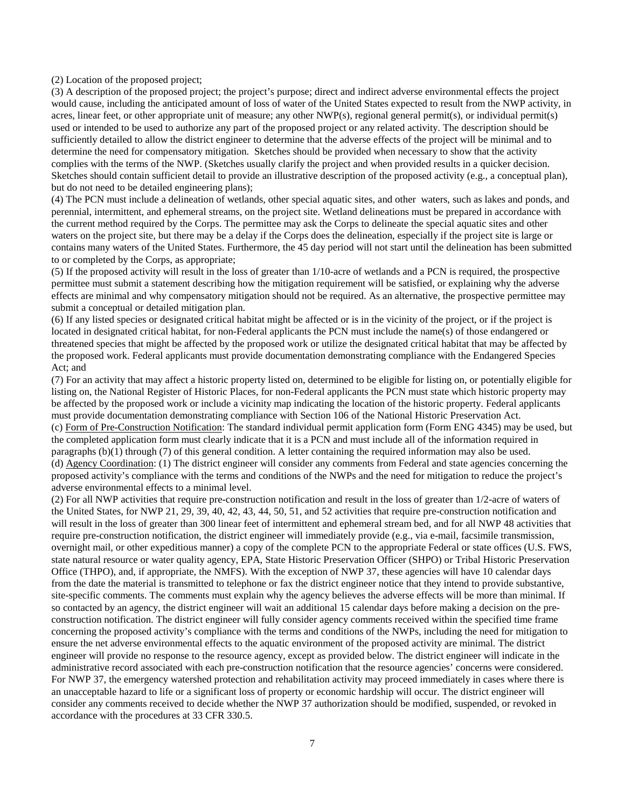(2) Location of the proposed project;

(3) A description of the proposed project; the project's purpose; direct and indirect adverse environmental effects the project would cause, including the anticipated amount of loss of water of the United States expected to result from the NWP activity, in acres, linear feet, or other appropriate unit of measure; any other NWP(s), regional general permit(s), or individual permit(s) used or intended to be used to authorize any part of the proposed project or any related activity. The description should be sufficiently detailed to allow the district engineer to determine that the adverse effects of the project will be minimal and to determine the need for compensatory mitigation. Sketches should be provided when necessary to show that the activity complies with the terms of the NWP. (Sketches usually clarify the project and when provided results in a quicker decision. Sketches should contain sufficient detail to provide an illustrative description of the proposed activity (e.g., a conceptual plan), but do not need to be detailed engineering plans);

(4) The PCN must include a delineation of wetlands, other special aquatic sites, and other waters, such as lakes and ponds, and perennial, intermittent, and ephemeral streams, on the project site. Wetland delineations must be prepared in accordance with the current method required by the Corps. The permittee may ask the Corps to delineate the special aquatic sites and other waters on the project site, but there may be a delay if the Corps does the delineation, especially if the project site is large or contains many waters of the United States. Furthermore, the 45 day period will not start until the delineation has been submitted to or completed by the Corps, as appropriate;

(5) If the proposed activity will result in the loss of greater than 1/10-acre of wetlands and a PCN is required, the prospective permittee must submit a statement describing how the mitigation requirement will be satisfied, or explaining why the adverse effects are minimal and why compensatory mitigation should not be required. As an alternative, the prospective permittee may submit a conceptual or detailed mitigation plan.

(6) If any listed species or designated critical habitat might be affected or is in the vicinity of the project, or if the project is located in designated critical habitat, for non-Federal applicants the PCN must include the name(s) of those endangered or threatened species that might be affected by the proposed work or utilize the designated critical habitat that may be affected by the proposed work. Federal applicants must provide documentation demonstrating compliance with the Endangered Species Act; and

(7) For an activity that may affect a historic property listed on, determined to be eligible for listing on, or potentially eligible for listing on, the National Register of Historic Places, for non-Federal applicants the PCN must state which historic property may be affected by the proposed work or include a vicinity map indicating the location of the historic property. Federal applicants must provide documentation demonstrating compliance with Section 106 of the National Historic Preservation Act. (c) Form of Pre-Construction Notification: The standard individual permit application form (Form ENG 4345) may be used, but the completed application form must clearly indicate that it is a PCN and must include all of the information required in paragraphs (b)(1) through (7) of this general condition. A letter containing the required information may also be used. (d) Agency Coordination: (1) The district engineer will consider any comments from Federal and state agencies concerning the proposed activity's compliance with the terms and conditions of the NWPs and the need for mitigation to reduce the project's adverse environmental effects to a minimal level.

(2) For all NWP activities that require pre-construction notification and result in the loss of greater than 1/2-acre of waters of the United States, for NWP 21, 29, 39, 40, 42, 43, 44, 50, 51, and 52 activities that require pre-construction notification and will result in the loss of greater than 300 linear feet of intermittent and ephemeral stream bed, and for all NWP 48 activities that require pre-construction notification, the district engineer will immediately provide (e.g., via e-mail, facsimile transmission, overnight mail, or other expeditious manner) a copy of the complete PCN to the appropriate Federal or state offices (U.S. FWS, state natural resource or water quality agency, EPA, State Historic Preservation Officer (SHPO) or Tribal Historic Preservation Office (THPO), and, if appropriate, the NMFS). With the exception of NWP 37, these agencies will have 10 calendar days from the date the material is transmitted to telephone or fax the district engineer notice that they intend to provide substantive, site-specific comments. The comments must explain why the agency believes the adverse effects will be more than minimal. If so contacted by an agency, the district engineer will wait an additional 15 calendar days before making a decision on the preconstruction notification. The district engineer will fully consider agency comments received within the specified time frame concerning the proposed activity's compliance with the terms and conditions of the NWPs, including the need for mitigation to ensure the net adverse environmental effects to the aquatic environment of the proposed activity are minimal. The district engineer will provide no response to the resource agency, except as provided below. The district engineer will indicate in the administrative record associated with each pre-construction notification that the resource agencies' concerns were considered. For NWP 37, the emergency watershed protection and rehabilitation activity may proceed immediately in cases where there is an unacceptable hazard to life or a significant loss of property or economic hardship will occur. The district engineer will consider any comments received to decide whether the NWP 37 authorization should be modified, suspended, or revoked in accordance with the procedures at 33 CFR 330.5.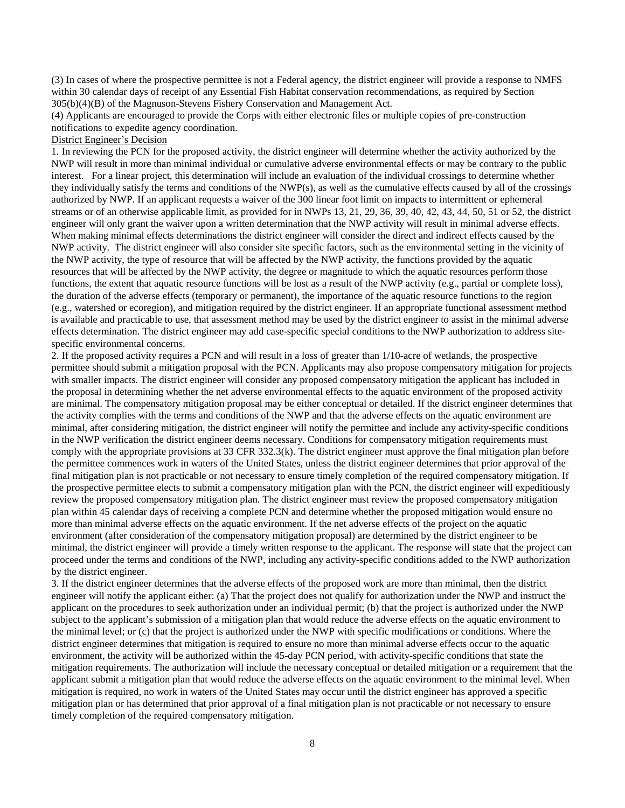(3) In cases of where the prospective permittee is not a Federal agency, the district engineer will provide a response to NMFS within 30 calendar days of receipt of any Essential Fish Habitat conservation recommendations, as required by Section 305(b)(4)(B) of the Magnuson-Stevens Fishery Conservation and Management Act.

(4) Applicants are encouraged to provide the Corps with either electronic files or multiple copies of pre-construction notifications to expedite agency coordination.

# District Engineer's Decision

1. In reviewing the PCN for the proposed activity, the district engineer will determine whether the activity authorized by the NWP will result in more than minimal individual or cumulative adverse environmental effects or may be contrary to the public interest. For a linear project, this determination will include an evaluation of the individual crossings to determine whether they individually satisfy the terms and conditions of the NWP(s), as well as the cumulative effects caused by all of the crossings authorized by NWP. If an applicant requests a waiver of the 300 linear foot limit on impacts to intermittent or ephemeral streams or of an otherwise applicable limit, as provided for in NWPs 13, 21, 29, 36, 39, 40, 42, 43, 44, 50, 51 or 52, the district engineer will only grant the waiver upon a written determination that the NWP activity will result in minimal adverse effects. When making minimal effects determinations the district engineer will consider the direct and indirect effects caused by the NWP activity. The district engineer will also consider site specific factors, such as the environmental setting in the vicinity of the NWP activity, the type of resource that will be affected by the NWP activity, the functions provided by the aquatic resources that will be affected by the NWP activity, the degree or magnitude to which the aquatic resources perform those functions, the extent that aquatic resource functions will be lost as a result of the NWP activity (e.g., partial or complete loss), the duration of the adverse effects (temporary or permanent), the importance of the aquatic resource functions to the region (e.g., watershed or ecoregion), and mitigation required by the district engineer. If an appropriate functional assessment method is available and practicable to use, that assessment method may be used by the district engineer to assist in the minimal adverse effects determination. The district engineer may add case-specific special conditions to the NWP authorization to address sitespecific environmental concerns.

2. If the proposed activity requires a PCN and will result in a loss of greater than 1/10-acre of wetlands, the prospective permittee should submit a mitigation proposal with the PCN. Applicants may also propose compensatory mitigation for projects with smaller impacts. The district engineer will consider any proposed compensatory mitigation the applicant has included in the proposal in determining whether the net adverse environmental effects to the aquatic environment of the proposed activity are minimal. The compensatory mitigation proposal may be either conceptual or detailed. If the district engineer determines that the activity complies with the terms and conditions of the NWP and that the adverse effects on the aquatic environment are minimal, after considering mitigation, the district engineer will notify the permittee and include any activity-specific conditions in the NWP verification the district engineer deems necessary. Conditions for compensatory mitigation requirements must comply with the appropriate provisions at 33 CFR 332.3(k). The district engineer must approve the final mitigation plan before the permittee commences work in waters of the United States, unless the district engineer determines that prior approval of the final mitigation plan is not practicable or not necessary to ensure timely completion of the required compensatory mitigation. If the prospective permittee elects to submit a compensatory mitigation plan with the PCN, the district engineer will expeditiously review the proposed compensatory mitigation plan. The district engineer must review the proposed compensatory mitigation plan within 45 calendar days of receiving a complete PCN and determine whether the proposed mitigation would ensure no more than minimal adverse effects on the aquatic environment. If the net adverse effects of the project on the aquatic environment (after consideration of the compensatory mitigation proposal) are determined by the district engineer to be minimal, the district engineer will provide a timely written response to the applicant. The response will state that the project can proceed under the terms and conditions of the NWP, including any activity-specific conditions added to the NWP authorization by the district engineer.

3. If the district engineer determines that the adverse effects of the proposed work are more than minimal, then the district engineer will notify the applicant either: (a) That the project does not qualify for authorization under the NWP and instruct the applicant on the procedures to seek authorization under an individual permit; (b) that the project is authorized under the NWP subject to the applicant's submission of a mitigation plan that would reduce the adverse effects on the aquatic environment to the minimal level; or (c) that the project is authorized under the NWP with specific modifications or conditions. Where the district engineer determines that mitigation is required to ensure no more than minimal adverse effects occur to the aquatic environment, the activity will be authorized within the 45-day PCN period, with activity-specific conditions that state the mitigation requirements. The authorization will include the necessary conceptual or detailed mitigation or a requirement that the applicant submit a mitigation plan that would reduce the adverse effects on the aquatic environment to the minimal level. When mitigation is required, no work in waters of the United States may occur until the district engineer has approved a specific mitigation plan or has determined that prior approval of a final mitigation plan is not practicable or not necessary to ensure timely completion of the required compensatory mitigation.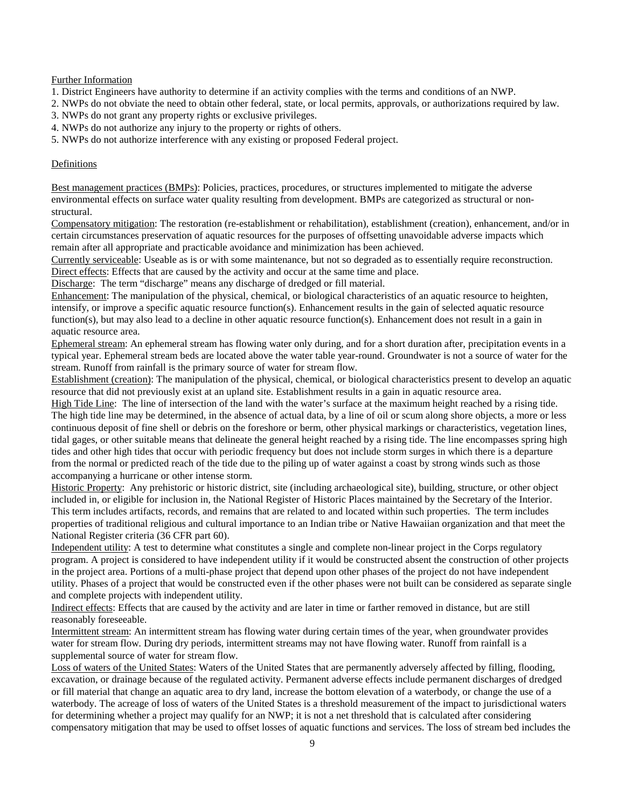Further Information

- 1. District Engineers have authority to determine if an activity complies with the terms and conditions of an NWP.
- 2. NWPs do not obviate the need to obtain other federal, state, or local permits, approvals, or authorizations required by law.
- 3. NWPs do not grant any property rights or exclusive privileges.
- 4. NWPs do not authorize any injury to the property or rights of others.
- 5. NWPs do not authorize interference with any existing or proposed Federal project.

### Definitions

Best management practices (BMPs): Policies, practices, procedures, or structures implemented to mitigate the adverse environmental effects on surface water quality resulting from development. BMPs are categorized as structural or nonstructural.

Compensatory mitigation: The restoration (re-establishment or rehabilitation), establishment (creation), enhancement, and/or in certain circumstances preservation of aquatic resources for the purposes of offsetting unavoidable adverse impacts which remain after all appropriate and practicable avoidance and minimization has been achieved.

Currently serviceable: Useable as is or with some maintenance, but not so degraded as to essentially require reconstruction. Direct effects: Effects that are caused by the activity and occur at the same time and place.

Discharge: The term "discharge" means any discharge of dredged or fill material.

Enhancement: The manipulation of the physical, chemical, or biological characteristics of an aquatic resource to heighten, intensify, or improve a specific aquatic resource function(s). Enhancement results in the gain of selected aquatic resource function(s), but may also lead to a decline in other aquatic resource function(s). Enhancement does not result in a gain in aquatic resource area.

Ephemeral stream: An ephemeral stream has flowing water only during, and for a short duration after, precipitation events in a typical year. Ephemeral stream beds are located above the water table year-round. Groundwater is not a source of water for the stream. Runoff from rainfall is the primary source of water for stream flow.

Establishment (creation): The manipulation of the physical, chemical, or biological characteristics present to develop an aquatic resource that did not previously exist at an upland site. Establishment results in a gain in aquatic resource area.

High Tide Line: The line of intersection of the land with the water's surface at the maximum height reached by a rising tide. The high tide line may be determined, in the absence of actual data, by a line of oil or scum along shore objects, a more or less continuous deposit of fine shell or debris on the foreshore or berm, other physical markings or characteristics, vegetation lines, tidal gages, or other suitable means that delineate the general height reached by a rising tide. The line encompasses spring high tides and other high tides that occur with periodic frequency but does not include storm surges in which there is a departure from the normal or predicted reach of the tide due to the piling up of water against a coast by strong winds such as those accompanying a hurricane or other intense storm.

Historic Property: Any prehistoric or historic district, site (including archaeological site), building, structure, or other object included in, or eligible for inclusion in, the National Register of Historic Places maintained by the Secretary of the Interior. This term includes artifacts, records, and remains that are related to and located within such properties. The term includes properties of traditional religious and cultural importance to an Indian tribe or Native Hawaiian organization and that meet the National Register criteria (36 CFR part 60).

Independent utility: A test to determine what constitutes a single and complete non-linear project in the Corps regulatory program. A project is considered to have independent utility if it would be constructed absent the construction of other projects in the project area. Portions of a multi-phase project that depend upon other phases of the project do not have independent utility. Phases of a project that would be constructed even if the other phases were not built can be considered as separate single and complete projects with independent utility.

Indirect effects: Effects that are caused by the activity and are later in time or farther removed in distance, but are still reasonably foreseeable.

Intermittent stream: An intermittent stream has flowing water during certain times of the year, when groundwater provides water for stream flow. During dry periods, intermittent streams may not have flowing water. Runoff from rainfall is a supplemental source of water for stream flow.

Loss of waters of the United States: Waters of the United States that are permanently adversely affected by filling, flooding, excavation, or drainage because of the regulated activity. Permanent adverse effects include permanent discharges of dredged or fill material that change an aquatic area to dry land, increase the bottom elevation of a waterbody, or change the use of a waterbody. The acreage of loss of waters of the United States is a threshold measurement of the impact to jurisdictional waters for determining whether a project may qualify for an NWP; it is not a net threshold that is calculated after considering compensatory mitigation that may be used to offset losses of aquatic functions and services. The loss of stream bed includes the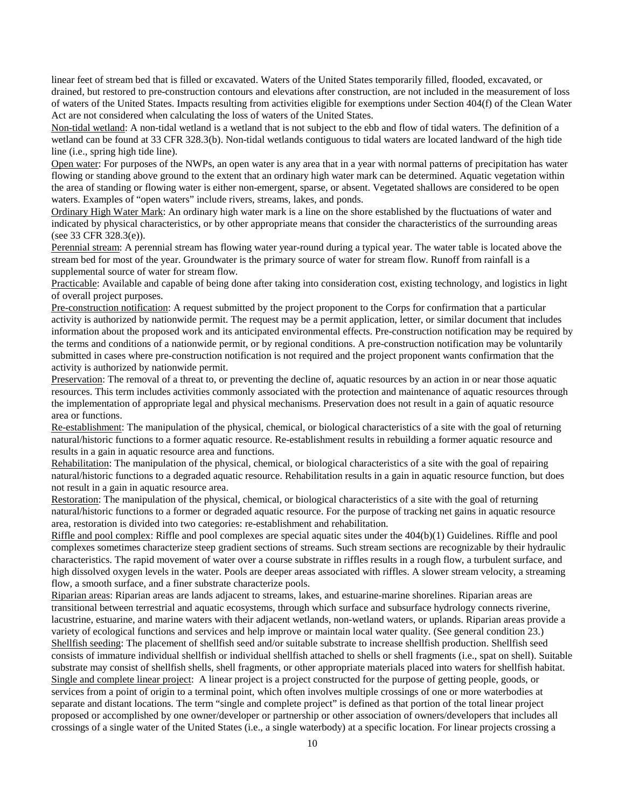linear feet of stream bed that is filled or excavated. Waters of the United States temporarily filled, flooded, excavated, or drained, but restored to pre-construction contours and elevations after construction, are not included in the measurement of loss of waters of the United States. Impacts resulting from activities eligible for exemptions under Section 404(f) of the Clean Water Act are not considered when calculating the loss of waters of the United States.

Non-tidal wetland: A non-tidal wetland is a wetland that is not subject to the ebb and flow of tidal waters. The definition of a wetland can be found at 33 CFR 328.3(b). Non-tidal wetlands contiguous to tidal waters are located landward of the high tide line (i.e., spring high tide line).

Open water: For purposes of the NWPs, an open water is any area that in a year with normal patterns of precipitation has water flowing or standing above ground to the extent that an ordinary high water mark can be determined. Aquatic vegetation within the area of standing or flowing water is either non-emergent, sparse, or absent. Vegetated shallows are considered to be open waters. Examples of "open waters" include rivers, streams, lakes, and ponds.

Ordinary High Water Mark: An ordinary high water mark is a line on the shore established by the fluctuations of water and indicated by physical characteristics, or by other appropriate means that consider the characteristics of the surrounding areas (see 33 CFR 328.3(e)).

Perennial stream: A perennial stream has flowing water year-round during a typical year. The water table is located above the stream bed for most of the year. Groundwater is the primary source of water for stream flow. Runoff from rainfall is a supplemental source of water for stream flow.

Practicable: Available and capable of being done after taking into consideration cost, existing technology, and logistics in light of overall project purposes.

Pre-construction notification: A request submitted by the project proponent to the Corps for confirmation that a particular activity is authorized by nationwide permit. The request may be a permit application, letter, or similar document that includes information about the proposed work and its anticipated environmental effects. Pre-construction notification may be required by the terms and conditions of a nationwide permit, or by regional conditions. A pre-construction notification may be voluntarily submitted in cases where pre-construction notification is not required and the project proponent wants confirmation that the activity is authorized by nationwide permit.

Preservation: The removal of a threat to, or preventing the decline of, aquatic resources by an action in or near those aquatic resources. This term includes activities commonly associated with the protection and maintenance of aquatic resources through the implementation of appropriate legal and physical mechanisms. Preservation does not result in a gain of aquatic resource area or functions.

Re-establishment: The manipulation of the physical, chemical, or biological characteristics of a site with the goal of returning natural/historic functions to a former aquatic resource. Re-establishment results in rebuilding a former aquatic resource and results in a gain in aquatic resource area and functions.

Rehabilitation: The manipulation of the physical, chemical, or biological characteristics of a site with the goal of repairing natural/historic functions to a degraded aquatic resource. Rehabilitation results in a gain in aquatic resource function, but does not result in a gain in aquatic resource area.

Restoration: The manipulation of the physical, chemical, or biological characteristics of a site with the goal of returning natural/historic functions to a former or degraded aquatic resource. For the purpose of tracking net gains in aquatic resource area, restoration is divided into two categories: re-establishment and rehabilitation.

Riffle and pool complex: Riffle and pool complexes are special aquatic sites under the 404(b)(1) Guidelines. Riffle and pool complexes sometimes characterize steep gradient sections of streams. Such stream sections are recognizable by their hydraulic characteristics. The rapid movement of water over a course substrate in riffles results in a rough flow, a turbulent surface, and high dissolved oxygen levels in the water. Pools are deeper areas associated with riffles. A slower stream velocity, a streaming flow, a smooth surface, and a finer substrate characterize pools.

Riparian areas: Riparian areas are lands adjacent to streams, lakes, and estuarine-marine shorelines. Riparian areas are transitional between terrestrial and aquatic ecosystems, through which surface and subsurface hydrology connects riverine, lacustrine, estuarine, and marine waters with their adjacent wetlands, non-wetland waters, or uplands. Riparian areas provide a variety of ecological functions and services and help improve or maintain local water quality. (See general condition 23.) Shellfish seeding: The placement of shellfish seed and/or suitable substrate to increase shellfish production. Shellfish seed consists of immature individual shellfish or individual shellfish attached to shells or shell fragments (i.e., spat on shell). Suitable substrate may consist of shellfish shells, shell fragments, or other appropriate materials placed into waters for shellfish habitat. Single and complete linear project: A linear project is a project constructed for the purpose of getting people, goods, or services from a point of origin to a terminal point, which often involves multiple crossings of one or more waterbodies at separate and distant locations. The term "single and complete project" is defined as that portion of the total linear project proposed or accomplished by one owner/developer or partnership or other association of owners/developers that includes all crossings of a single water of the United States (i.e., a single waterbody) at a specific location. For linear projects crossing a